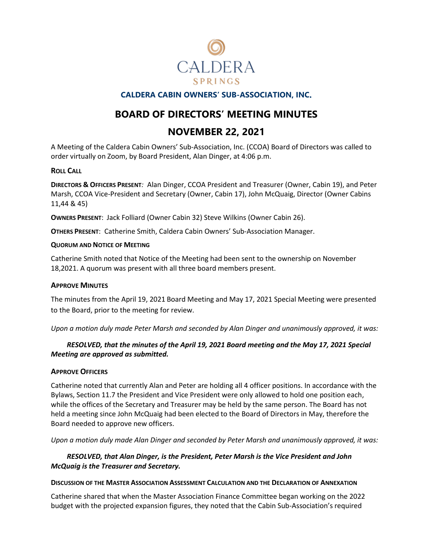

# **CALDERA CABIN OWNERS' SUB-ASSOCIATION, INC**.

# **BOARD OF DIRECTORS' MEETING MINUTES**

# **NOVEMBER 22, 2021**

A Meeting of the Caldera Cabin Owners' Sub-Association, Inc. (CCOA) Board of Directors was called to order virtually on Zoom, by Board President, Alan Dinger, at 4:06 p.m.

### **ROLL CALL**

**DIRECTORS & OFFICERS PRESENT***:* Alan Dinger, CCOA President and Treasurer (Owner, Cabin 19), and Peter Marsh, CCOA Vice-President and Secretary (Owner, Cabin 17), John McQuaig, Director (Owner Cabins 11,44 & 45)

**OWNERS PRESENT**: Jack Folliard (Owner Cabin 32) Steve Wilkins (Owner Cabin 26).

**OTHERS PRESENT**: Catherine Smith, Caldera Cabin Owners' Sub-Association Manager.

#### **QUORUM AND NOTICE OF MEETING**

Catherine Smith noted that Notice of the Meeting had been sent to the ownership on November 18,2021. A quorum was present with all three board members present.

### **APPROVE MINUTES**

The minutes from the April 19, 2021 Board Meeting and May 17, 2021 Special Meeting were presented to the Board, prior to the meeting for review.

*Upon a motion duly made Peter Marsh and seconded by Alan Dinger and unanimously approved, it was:*

# *RESOLVED, that the minutes of the April 19, 2021 Board meeting and the May 17, 2021 Special Meeting are approved as submitted.*

### **APPROVE OFFICERS**

Catherine noted that currently Alan and Peter are holding all 4 officer positions. In accordance with the Bylaws, Section 11.7 the President and Vice President were only allowed to hold one position each, while the offices of the Secretary and Treasurer may be held by the same person. The Board has not held a meeting since John McQuaig had been elected to the Board of Directors in May, therefore the Board needed to approve new officers.

*Upon a motion duly made Alan Dinger and seconded by Peter Marsh and unanimously approved, it was:*

### *RESOLVED, that Alan Dinger, is the President, Peter Marsh is the Vice President and John McQuaig is the Treasurer and Secretary.*

#### **DISCUSSION OF THE MASTER ASSOCIATION ASSESSMENT CALCULATION AND THE DECLARATION OF ANNEXATION**

Catherine shared that when the Master Association Finance Committee began working on the 2022 budget with the projected expansion figures, they noted that the Cabin Sub-Association's required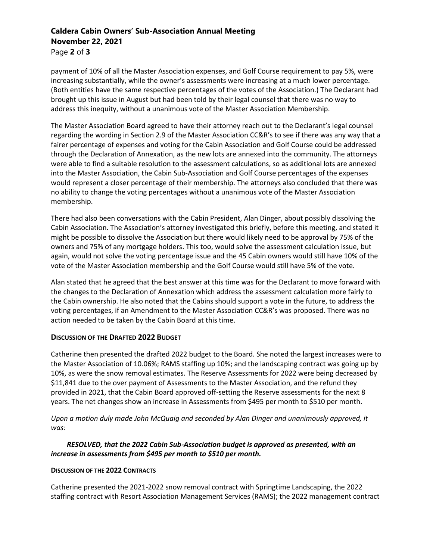# **Caldera Cabin Owners' Sub-Association Annual Meeting November 22, 2021** Page **2** of **3**

payment of 10% of all the Master Association expenses, and Golf Course requirement to pay 5%, were increasing substantially, while the owner's assessments were increasing at a much lower percentage. (Both entities have the same respective percentages of the votes of the Association.) The Declarant had brought up this issue in August but had been told by their legal counsel that there was no way to address this inequity, without a unanimous vote of the Master Association Membership.

The Master Association Board agreed to have their attorney reach out to the Declarant's legal counsel regarding the wording in Section 2.9 of the Master Association CC&R's to see if there was any way that a fairer percentage of expenses and voting for the Cabin Association and Golf Course could be addressed through the Declaration of Annexation, as the new lots are annexed into the community. The attorneys were able to find a suitable resolution to the assessment calculations, so as additional lots are annexed into the Master Association, the Cabin Sub-Association and Golf Course percentages of the expenses would represent a closer percentage of their membership. The attorneys also concluded that there was no ability to change the voting percentages without a unanimous vote of the Master Association membership.

There had also been conversations with the Cabin President, Alan Dinger, about possibly dissolving the Cabin Association. The Association's attorney investigated this briefly, before this meeting, and stated it might be possible to dissolve the Association but there would likely need to be approval by 75% of the owners and 75% of any mortgage holders. This too, would solve the assessment calculation issue, but again, would not solve the voting percentage issue and the 45 Cabin owners would still have 10% of the vote of the Master Association membership and the Golf Course would still have 5% of the vote.

Alan stated that he agreed that the best answer at this time was for the Declarant to move forward with the changes to the Declaration of Annexation which address the assessment calculation more fairly to the Cabin ownership. He also noted that the Cabins should support a vote in the future, to address the voting percentages, if an Amendment to the Master Association CC&R's was proposed. There was no action needed to be taken by the Cabin Board at this time.

# **DISCUSSION OF THE DRAFTED 2022 BUDGET**

Catherine then presented the drafted 2022 budget to the Board. She noted the largest increases were to the Master Association of 10.06%; RAMS staffing up 10%; and the landscaping contract was going up by 10%, as were the snow removal estimates. The Reserve Assessments for 2022 were being decreased by \$11,841 due to the over payment of Assessments to the Master Association, and the refund they provided in 2021, that the Cabin Board approved off-setting the Reserve assessments for the next 8 years. The net changes show an increase in Assessments from \$495 per month to \$510 per month.

*Upon a motion duly made John McQuaig and seconded by Alan Dinger and unanimously approved, it was:*

# *RESOLVED, that the 2022 Cabin Sub-Association budget is approved as presented, with an increase in assessments from \$495 per month to \$510 per month.*

### **DISCUSSION OF THE 2022 CONTRACTS**

Catherine presented the 2021-2022 snow removal contract with Springtime Landscaping, the 2022 staffing contract with Resort Association Management Services (RAMS); the 2022 management contract